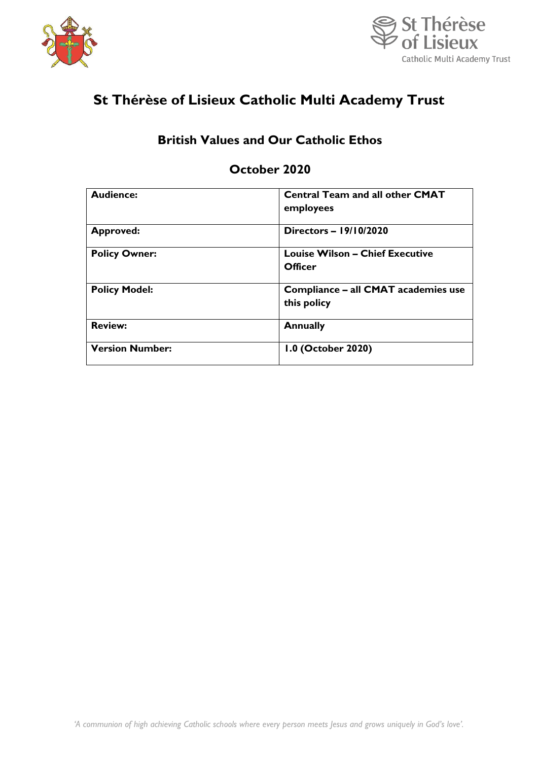



# **St Thérèse of Lisieux Catholic Multi Academy Trust**

# **British Values and Our Catholic Ethos**

# **October 2020**

| <b>Audience:</b>       | <b>Central Team and all other CMAT</b> |
|------------------------|----------------------------------------|
|                        | employees                              |
|                        |                                        |
| <b>Approved:</b>       | Directors - 19/10/2020                 |
|                        |                                        |
| <b>Policy Owner:</b>   | <b>Louise Wilson - Chief Executive</b> |
|                        | Officer                                |
|                        |                                        |
| <b>Policy Model:</b>   | Compliance - all CMAT academies use    |
|                        | this policy                            |
|                        |                                        |
| <b>Review:</b>         | <b>Annually</b>                        |
|                        |                                        |
| <b>Version Number:</b> | 1.0 (October 2020)                     |
|                        |                                        |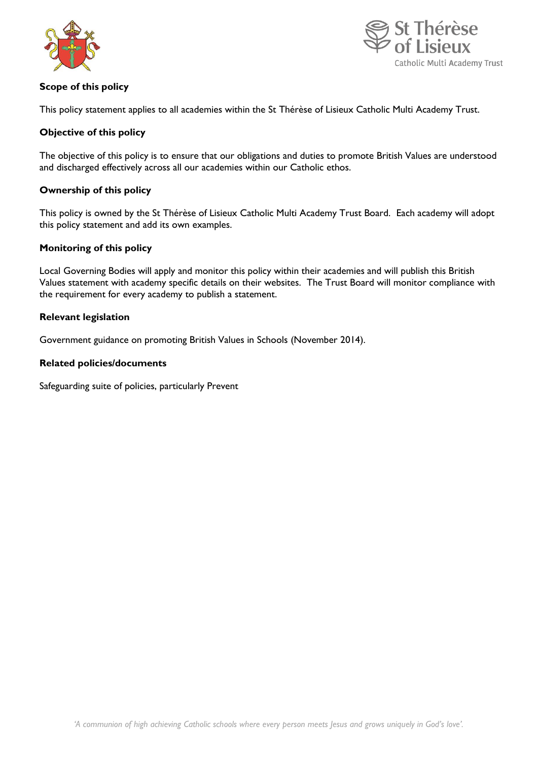



# **Scope of this policy**

This policy statement applies to all academies within the St Thérèse of Lisieux Catholic Multi Academy Trust.

# **Objective of this policy**

The objective of this policy is to ensure that our obligations and duties to promote British Values are understood and discharged effectively across all our academies within our Catholic ethos.

#### **Ownership of this policy**

This policy is owned by the St Thérèse of Lisieux Catholic Multi Academy Trust Board. Each academy will adopt this policy statement and add its own examples.

#### **Monitoring of this policy**

Local Governing Bodies will apply and monitor this policy within their academies and will publish this British Values statement with academy specific details on their websites. The Trust Board will monitor compliance with the requirement for every academy to publish a statement.

#### **Relevant legislation**

Government guidance on promoting British Values in Schools (November 2014).

#### **Related policies/documents**

Safeguarding suite of policies, particularly Prevent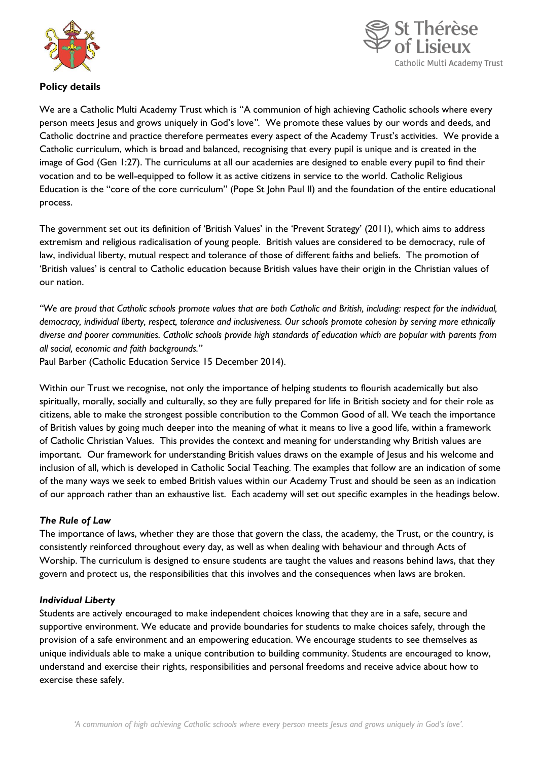



# **Policy details**

We are a Catholic Multi Academy Trust which is "A communion of high achieving Catholic schools where every person meets Jesus and grows uniquely in God's love*"*. We promote these values by our words and deeds, and Catholic doctrine and practice therefore permeates every aspect of the Academy Trust's activities. We provide a Catholic curriculum, which is broad and balanced, recognising that every pupil is unique and is created in the image of God (Gen 1:27). The curriculums at all our academies are designed to enable every pupil to find their vocation and to be well-equipped to follow it as active citizens in service to the world. Catholic Religious Education is the "core of the core curriculum" (Pope St John Paul II) and the foundation of the entire educational process.

The government set out its definition of 'British Values' in the 'Prevent Strategy' (2011), which aims to address extremism and religious radicalisation of young people. British values are considered to be democracy, rule of law, individual liberty, mutual respect and tolerance of those of different faiths and beliefs. The promotion of 'British values' is central to Catholic education because British values have their origin in the Christian values of our nation.

*"We are proud that Catholic schools promote values that are both Catholic and British, including: respect for the individual, democracy, individual liberty, respect, tolerance and inclusiveness. Our schools promote cohesion by serving more ethnically diverse and poorer communities. Catholic schools provide high standards of education which are popular with parents from all social, economic and faith backgrounds."* 

Paul Barber (Catholic Education Service 15 December 2014).

Within our Trust we recognise, not only the importance of helping students to flourish academically but also spiritually, morally, socially and culturally, so they are fully prepared for life in British society and for their role as citizens, able to make the strongest possible contribution to the Common Good of all. We teach the importance of British values by going much deeper into the meaning of what it means to live a good life, within a framework of Catholic Christian Values. This provides the context and meaning for understanding why British values are important. Our framework for understanding British values draws on the example of Jesus and his welcome and inclusion of all, which is developed in Catholic Social Teaching. The examples that follow are an indication of some of the many ways we seek to embed British values within our Academy Trust and should be seen as an indication of our approach rather than an exhaustive list. Each academy will set out specific examples in the headings below.

# *The Rule of Law*

The importance of laws, whether they are those that govern the class, the academy, the Trust, or the country, is consistently reinforced throughout every day, as well as when dealing with behaviour and through Acts of Worship. The curriculum is designed to ensure students are taught the values and reasons behind laws, that they govern and protect us, the responsibilities that this involves and the consequences when laws are broken.

# *Individual Liberty*

Students are actively encouraged to make independent choices knowing that they are in a safe, secure and supportive environment. We educate and provide boundaries for students to make choices safely, through the provision of a safe environment and an empowering education. We encourage students to see themselves as unique individuals able to make a unique contribution to building community. Students are encouraged to know, understand and exercise their rights, responsibilities and personal freedoms and receive advice about how to exercise these safely.